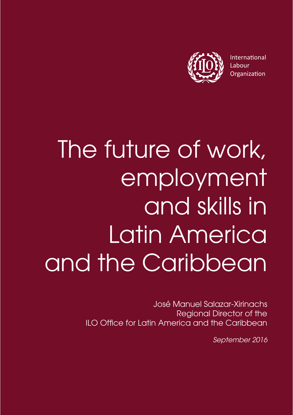

International Labour Organization

# The future of work. employment and skills in Latin America and the Caribbean

José Manuel Salazar-Xirinachs Regional Director of the ILO Office for Latin America and the Caribbean

September 2016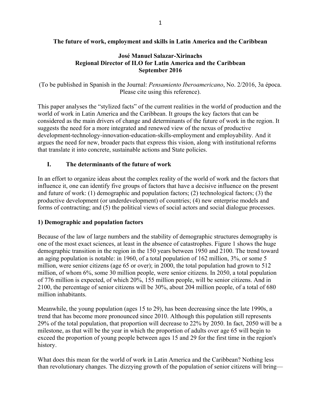## **The future of work, employment and skills in Latin America and the Caribbean**

### **José Manuel Salazar-Xirinachs Regional Director of ILO for Latin America and the Caribbean September 2016**

(To be published in Spanish in the Journal: *Pensamiento Iberoamericano*, No. 2/2016, 3a época. Please cite using this reference).

This paper analyses the "stylized facts" of the current realities in the world of production and the world of work in Latin America and the Caribbean. It groups the key factors that can be considered as the main drivers of change and determinants of the future of work in the region. It suggests the need for a more integrated and renewed view of the nexus of productive development-technology-innovation-education-skills-employment and employability. And it argues the need for new, broader pacts that express this vision, along with institutional reforms that translate it into concrete, sustainable actions and State policies.

### **I. The determinants of the future of work**

In an effort to organize ideas about the complex reality of the world of work and the factors that influence it, one can identify five groups of factors that have a decisive influence on the present and future of work: (1) demographic and population factors; (2) technological factors; (3) the productive development (or underdevelopment) of countries; (4) new enterprise models and forms of contracting; and (5) the political views of social actors and social dialogue processes.

#### **1) Demographic and population factors**

Because of the law of large numbers and the stability of demographic structures demography is one of the most exact sciences, at least in the absence of catastrophes. Figure 1 shows the huge demographic transition in the region in the 150 years between 1950 and 2100. The trend toward an aging population is notable: in 1960, of a total population of 162 million, 3%, or some 5 million, were senior citizens (age 65 or over); in 2000, the total population had grown to 512 million, of whom 6%, some 30 million people, were senior citizens. In 2050, a total population of 776 million is expected, of which 20%, 155 million people, will be senior citizens. And in 2100, the percentage of senior citizens will be 30%, about 204 million people, of a total of 680 million inhabitants.

Meanwhile, the young population (ages 15 to 29), has been decreasing since the late 1990s, a trend that has become more pronounced since 2010. Although this population still represents 29% of the total population, that proportion will decrease to 22% by 2050. In fact, 2050 will be a milestone, as that will be the year in which the proportion of adults over age 65 will begin to exceed the proportion of young people between ages 15 and 29 for the first time in the region's history.

What does this mean for the world of work in Latin America and the Caribbean? Nothing less than revolutionary changes. The dizzying growth of the population of senior citizens will bring—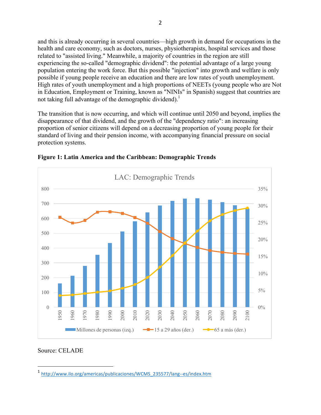and this is already occurring in several countries—high growth in demand for occupations in the health and care economy, such as doctors, nurses, physiotherapists, hospital services and those related to "assisted living." Meanwhile, a majority of countries in the region are still experiencing the so-called "demographic dividend": the potential advantage of a large young population entering the work force. But this possible "injection" into growth and welfare is only possible if young people receive an education and there are low rates of youth unemployment. High rates of youth unemployment and a high proportions of NEETs (young people who are Not in Education, Employment or Training, known as "NINIs" in Spanish) suggest that countries are not taking full advantage of the demographic dividend).<sup>1</sup>

The transition that is now occurring, and which will continue until 2050 and beyond, implies the disappearance of that dividend, and the growth of the "dependency ratio": an increasing proportion of senior citizens will depend on a decreasing proportion of young people for their standard of living and their pension income, with accompanying financial pressure on social protection systems.



**Figure 1: Latin America and the Caribbean: Demographic Trends**

### Source: CELADE

<sup>1</sup> http://www.ilo.org/americas/publicaciones/WCMS\_235577/lang--es/index.htm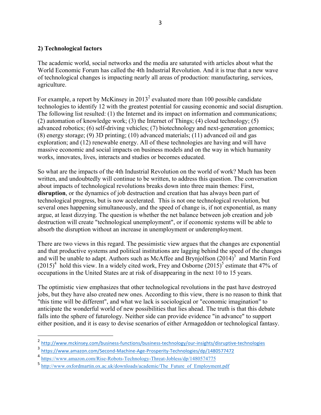#### **2) Technological factors**

The academic world, social networks and the media are saturated with articles about what the World Economic Forum has called the 4th Industrial Revolution. And it is true that a new wave of technological changes is impacting nearly all areas of production: manufacturing, services, agriculture.

For example, a report by McKinsey in  $2013^2$  evaluated more than 100 possible candidate technologies to identify 12 with the greatest potential for causing economic and social disruption. The following list resulted: (1) the Internet and its impact on information and communications; (2) automation of knowledge work; (3) the Internet of Things; (4) cloud technology; (5) advanced robotics; (6) self-driving vehicles; (7) biotechnology and next-generation genomics; (8) energy storage; (9) 3D printing; (10) advanced materials; (11) advanced oil and gas exploration; and (12) renewable energy. All of these technologies are having and will have massive economic and social impacts on business models and on the way in which humanity works, innovates, lives, interacts and studies or becomes educated.

So what are the impacts of the 4th Industrial Revolution on the world of work? Much has been written, and undoubtedly will continue to be written, to address this question. The conversation about impacts of technological revolutions breaks down into three main themes: First, **disruption**, or the dynamics of job destruction and creation that has always been part of technological progress, but is now accelerated. This is not one technological revolution, but several ones happening simultaneously, and the speed of change is, if not exponential, as many argue, at least dizzying. The question is whether the net balance between job creation and job destruction will create "technological unemployment", or if economic systems will be able to absorb the disruption without an increase in unemployment or underemployment.

There are two views in this regard. The pessimistic view argues that the changes are exponential and that productive systems and political institutions are lagging behind the speed of the changes and will be unable to adapt. Authors such as McAffee and Brynjolfson  $(2014)^3$  and Martin Ford  $(2015)^4$  hold this view. In a widely cited work, Frey and Osborne  $(2015)^5$  estimate that 47% of occupations in the United States are at risk of disappearing in the next 10 to 15 years.

The optimistic view emphasizes that other technological revolutions in the past have destroyed jobs, but they have also created new ones. According to this view, there is no reason to think that "this time will be different", and what we lack is sociological or "economic imagination" to anticipate the wonderful world of new possibilities that lies ahead. The truth is that this debate falls into the sphere of futurology. Neither side can provide evidence "in advance" to support either position, and it is easy to devise scenarios of either Armageddon or technological fantasy.

 $\frac{2 \text{ http://www.mckinsey.com/business-function/business-technology/our-insights/disruptive-technologies}}{3 \text{ https://www.mckinsey.com/ScasofMachino. Aca Phocasity Tochnologics/dn/1480577472}}$ 

<sup>3</sup> https://www.amazon.com/Second-Machine-Age-Prosperity-Technologies/dp/1480577472

<sup>4</sup> https://www.amazon.com/Rise-Robots-Technology-Threat-Jobless/dp/1480574775

<sup>5</sup> http://www.oxf<u>ordmartin.ox.ac.uk/downloads/academic/The\_Future\_of\_Employment.pdf</u>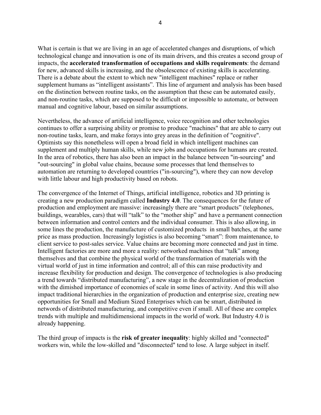What is certain is that we are living in an age of accelerated changes and disruptions, of which technological change and innovation is one of its main drivers, and this creates a second group of impacts, the **accelerated transformation of occupations and skills requirements**: the demand for new, advanced skills is increasing, and the obsolescence of existing skills is accelerating. There is a debate about the extent to which new "intelligent machines" replace or rather supplement humans as "intelligent assistants". This line of argument and analysis has been based on the distinction between routine tasks, on the assumption that these can be automated easily, and non-routine tasks, which are supposed to be difficult or impossible to automate, or between manual and cognitive labour, based on similar assumptions.

Nevertheless, the advance of artificial intelligence, voice recognition and other technologies continues to offer a surprising ability or promise to produce "machines" that are able to carry out non-routine tasks, learn, and make forays into grey areas in the definition of "cognitive". Optimists say this nonetheless will open a broad field in which intelligent machines can supplement and multiply human skills, while new jobs and occupations for humans are created. In the area of robotics, there has also been an impact in the balance between "in-sourcing" and "out-sourcing" in global value chains, because some processes that lend themselves to automation are returning to developed countries ("in-sourcing"), where they can now develop with little labour and high productivity based on robots.

The convergence of the Internet of Things, artificial intelligence, robotics and 3D printing is creating a new production paradigm called **Industry 4.0**. The consequences for the future of production and employment are massive: increasingly there are "smart products" (telephones, buildings, wearables, cars) that will "talk" to the "mother ship" and have a permanent connection between information and control centers and the individual consumer. This is also allowing, in some lines the production, the manufacture of customized products in small batches, at the same price as mass production. Increasingly logistics is also becoming "smart": from maintenance, to client service to post-sales service. Value chains are becoming more connected and just in time. Intelligent factories are more and more a reality: networked machines that "talk" among themselves and that combine the physical world of the transformation of materials with the virtual world of just in time information and control; all of this can raise productivity and increase flexibility for production and design. The convergence of technologies is also producing a trend towards "distributed manufacturing", a new stage in the decentralization of production with the dimished importance of economies of scale in some lines of activity. And this will also impact traditional hierarchies in the organization of production and enterprise size, creating new opportunities for Small and Medium Sized Enterprises which can be smart, distributed in networds of distributed manufacturing, and competitive even if small. All of these are complex trends with multiple and multidimensional impacts in the world of work. But Industry 4.0 is already happening.

The third group of impacts is the **risk of greater inequality**: highly skilled and "connected" workers win, while the low-skilled and "disconnected" tend to lose. A large subject in itself.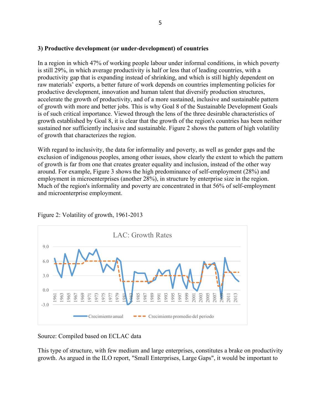#### **3) Productive development (or under-development) of countries**

In a region in which 47% of working people labour under informal conditions, in which poverty is still 29%, in which average productivity is half or less that of leading countries, with a productivity gap that is expanding instead of shrinking, and which is still highly dependent on raw materials' exports, a better future of work depends on countries implementing policies for productive development, innovation and human talent that diversify production structures, accelerate the growth of productivity, and of a more sustained, inclusive and sustainable pattern of growth with more and better jobs. This is why Goal 8 of the Sustainable Development Goals is of such critical importance. Viewed through the lens of the three desirable characteristics of growth established by Goal 8, it is clear that the growth of the region's countries has been neither sustained nor sufficiently inclusive and sustainable. Figure 2 shows the pattern of high volatility of growth that characterizes the region.

With regard to inclusivity, the data for informality and poverty, as well as gender gaps and the exclusion of indigenous peoples, among other issues, show clearly the extent to which the pattern of growth is far from one that creates greater equality and inclusion, instead of the other way around. For example, Figure 3 shows the high predominance of self-employment (28%) and employment in microenterprises (another 28%), in structure by enterprise size in the region. Much of the region's informality and poverty are concentrated in that 56% of self-employment and microenterprise employment.



Figure 2: Volatility of growth, 1961-2013

Source: Compiled based on ECLAC data

This type of structure, with few medium and large enterprises, constitutes a brake on productivity growth. As argued in the ILO report, "Small Enterprises, Large Gaps", it would be important to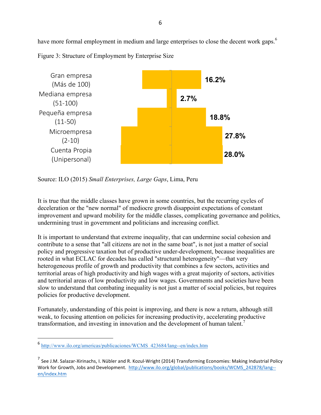have more formal employment in medium and large enterprises to close the decent work gaps.<sup>6</sup>





Source: ILO (2015) *Small Enterprises, Large Gaps*, Lima, Peru

It is true that the middle classes have grown in some countries, but the recurring cycles of deceleration or the "new normal" of mediocre growth disappoint expectations of constant improvement and upward mobility for the middle classes, complicating governance and politics, undermining trust in government and politicians and increasing conflict.

It is important to understand that extreme inequality, that can undermine social cohesion and contribute to a sense that "all citizens are not in the same boat", is not just a matter of social policy and progressive taxation but of productive under-development, because inequalities are rooted in what ECLAC for decades has called "structural heterogeneity"—that very heterogeneous profile of growth and productivity that combines a few sectors, activities and territorial areas of high productivity and high wages with a great majority of sectors, activities and territorial areas of low productivity and low wages. Governments and societies have been slow to understand that combating inequality is not just a matter of social policies, but requires policies for productive development.

Fortunately, understanding of this point is improving, and there is now a return, although still weak, to focusing attention on policies for increasing productivity, accelerating productive transformation, and investing in innovation and the development of human talent.<sup>7</sup>

<sup>6</sup> http://www.ilo.org/americas/publicaciones/WCMS\_423684/lang--en/index.htm

 $^7$  See J.M. Salazar-Xirinachs, I. Nübler and R. Kozul-Wright (2014) Transforming Economies: Making Industrial Policy Work for Growth, Jobs and Development. http://www.ilo.org/global/publications/books/WCMS\_242878/lang-en/index.htm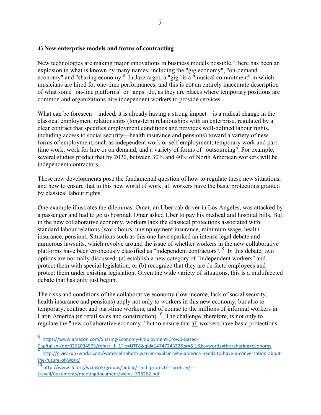#### **4) New enterprise models and forms of contracting**

New technologies are making major innovations in business models possible. There has been an explosion in what is known by many names, including the "gig economy", "on-demand economy" and "sharing economy.<sup>8</sup> In Jazz argot, a "gig" is a "musical commitment" in which musicians are hired for one-time performances, and this is not an entirely inaccurate description of what some "on-line platforms" or "apps" do, as they are places where temporary positions are common and organizations hire independent workers to provide services.

What can be foreseen—indeed, it is already having a strong impact—is a radical change in the classical employment relationships (long-term relationships with an enterprise, regulated by a clear contract that specifies employment conditions and provides well-defined labour rights, including access to social security—health insurance and pensions) toward a variety of new forms of employment, such as independent work or self-employment; temporary work and parttime work; work for hire or on demand; and a variety of forms of "outsourcing". For example, several studies predict that by 2020, between 30% and 40% of North American workers will be independent contractors.

These new developments pose the fundamental question of how to regulate these new situations, and how to ensure that in this new world of work, all workers have the basic protections granted by classical labour rights.

One example illustrates the dilemmas. Omar, an Uber cab driver in Los Angeles, was attacked by a passenger and had to go to hospital. Omar asked Uber to pay his medical and hospital bills. But in the new collaborative economy, workers lack the classical protections associated with standard labour relations (work hours, unemployment insurance, minimum wage, health insurance, pension). Situations such as this one have sparked an intense legal debate and numerous lawsuits, which revolve around the issue of whether workers in the new collaborative platforms have been erroneously classified as "independent contractors". <sup>9</sup> In this debate, two options are normally discussed: (a) establish a new category of "independent workers" and protect them with special legislation; or (b) recognize that they are de facto employees and protect them under existing legislation. Given the wide variety of situations, this is a multifaceted debate that has only just begun.

The risks and conditions of the collaborative economy (low income, lack of social security, health insurance and pensions) apply not only to workers in this new economy, but also to temporary, contract and part-time workers, and of course to the millions of informal workers in Latin America (in retail sales and construction).<sup>10</sup> The challenge, therefore, is not only to regulate the "new collaborative economy," but to ensure that all workers have basic protections.

<sup>8</sup> https://www.amazon.com/Sharing-Economy-Employment-Crowd-Based-

Capitalism/dp/0262034573/ref=sr\_1\_1?ie=UTF8&qid=1474724532&sr=8-1&keywords=the+sharing+economy

<sup>9</sup> http://civicskunkworks.com/watch-elizabeth-warren-explain-why-america-needs-to-have-a-conversation-aboutthe-future-of-work/

<sup>10</sup> http://www.ilo.org/wcmsp5/groups/public/---ed\_protect/---protrav/-- travail/documents/meetingdocument/wcms\_338262.pdf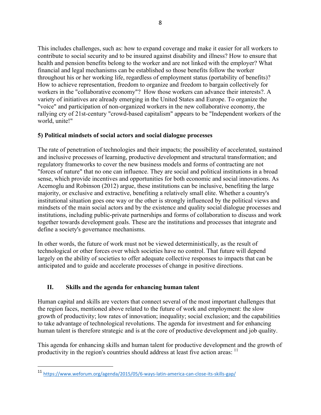This includes challenges, such as: how to expand coverage and make it easier for all workers to contribute to social security and to be insured against disability and illness? How to ensure that health and pension benefits belong to the worker and are not linked with the employer? What financial and legal mechanisms can be established so those benefits follow the worker throughout his or her working life, regardless of employment status (portability of benefits)? How to achieve representation, freedom to organize and freedom to bargain collectively for workers in the "collaborative economy"? How those workers can advance their interests?. A variety of initiatives are already emerging in the United States and Europe. To organize the "voice" and participation of non-organized workers in the new collaborative economy, the rallying cry of 21st-century "crowd-based capitalism" appears to be "Independent workers of the world, unite!"

# **5) Political mindsets of social actors and social dialogue processes**

The rate of penetration of technologies and their impacts; the possibility of accelerated, sustained and inclusive processes of learning, productive development and structural transformation; and regulatory frameworks to cover the new business models and forms of contracting are not "forces of nature" that no one can influence. They are social and political institutions in a broad sense, which provide incentives and opportunities for both economic and social innovations. As Acemoglu and Robinson (2012) argue, these institutions can be inclusive, benefiting the large majority, or exclusive and extractive, benefiting a relatively small elite. Whether a country's institutional situation goes one way or the other is strongly influenced by the political views and mindsets of the main social actors and by the existence and quality social dialogue processes and institutions, including public-private partnerships and forms of collaboration to discuss and work together towards development goals. These are the institutions and processes that integrate and define a society's governance mechanisms.

In other words, the future of work must not be viewed deterministically, as the result of technological or other forces over which societies have no control. That future will depend largely on the ability of societies to offer adequate collective responses to impacts that can be anticipated and to guide and accelerate processes of change in positive directions.

# **II. Skills and the agenda for enhancing human talent**

Human capital and skills are vectors that connect several of the most important challenges that the region faces, mentioned above related to the future of work and employment: the slow growth of productivity; low rates of innovation; inequality; social exclusion; and the capabilities to take advantage of technological revolutions. The agenda for investment and for enhancing human talent is therefore strategic and is at the core of productive development and job quality.

This agenda for enhancing skills and human talent for productive development and the growth of productivity in the region's countries should address at least five action areas: <sup>11</sup>

<sup>11</sup> https://www.weforum.org/agenda/2015/05/6-ways-latin-america-can-close-its-skills-gap/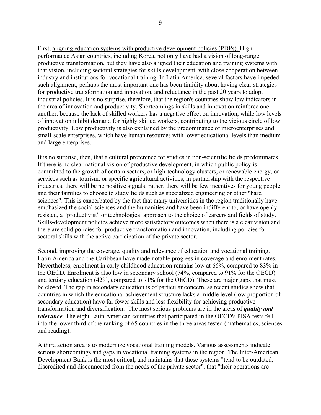First, aligning education systems with productive development policies (PDPs). Highperformance Asian countries, including Korea, not only have had a vision of long-range productive transformation, but they have also aligned their education and training systems with that vision, including sectoral strategies for skills development, with close cooperation between industry and institutions for vocational training. In Latin America, several factors have impeded such alignment; perhaps the most important one has been timidity about having clear strategies for productive transformation and innovation, and reluctance in the past 20 years to adopt industrial policies. It is no surprise, therefore, that the region's countries show low indicators in the area of innovation and productivity. Shortcomings in skills and innovation reinforce one another, because the lack of skilled workers has a negative effect on innovation, while low levels of innovation inhibit demand for highly skilled workers, contributing to the vicious circle of low productivity. Low productivity is also explained by the predominance of microenterprises and small-scale enterprises, which have human resources with lower educational levels than medium and large enterprises.

It is no surprise, then, that a cultural preference for studies in non-scientific fields predominates. If there is no clear national vision of productive development, in which public policy is committed to the growth of certain sectors, or high-technology clusters, or renewable energy, or services such as tourism, or specific agricultural activities, in partnership with the respective industries, there will be no positive signals; rather, there will be few incentives for young people and their families to choose to study fields such as specialized engineering or other "hard sciences". This is exacerbated by the fact that many universities in the region traditionally have emphasized the social sciences and the humanities and have been indifferent to, or have openly resisted, a "productivist" or technological approach to the choice of careers and fields of study. Skills-development policies achieve more satisfactory outcomes when there is a clear vision and there are solid policies for productive transformation and innovation, including policies for sectoral skills with the active participation of the private sector.

Second, improving the coverage, quality and relevance of education and vocational training. Latin America and the Caribbean have made notable progress in coverage and enrolment rates. Nevertheless, enrolment in early childhood education remains low at 66%, compared to 83% in the OECD. Enrolment is also low in secondary school (74%, compared to 91% for the OECD) and tertiary education (42%, compared to 71% for the OECD). These are major gaps that must be closed. The gap in secondary education is of particular concern, as recent studies show that countries in which the educational achievement structure lacks a middle level (low proportion of secondary education) have far fewer skills and less flexibility for achieving productive transformation and diversification. The most serious problems are in the areas of *quality and relevance*. The eight Latin American countries that participated in the OECD's PISA tests fell into the lower third of the ranking of 65 countries in the three areas tested (mathematics, sciences and reading).

A third action area is to modernize vocational training models. Various assessments indicate serious shortcomings and gaps in vocational training systems in the region. The Inter-American Development Bank is the most critical, and maintains that these systems "tend to be outdated, discredited and disconnected from the needs of the private sector", that "their operations are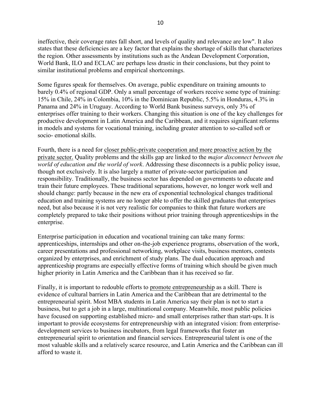ineffective, their coverage rates fall short, and levels of quality and relevance are low". It also states that these deficiencies are a key factor that explains the shortage of skills that characterizes the region. Other assessments by institutions such as the Andean Development Corporation, World Bank, ILO and ECLAC are perhaps less drastic in their conclusions, but they point to similar institutional problems and empirical shortcomings.

Some figures speak for themselves. On average, public expenditure on training amounts to barely 0.4% of regional GDP. Only a small percentage of workers receive some type of training: 15% in Chile, 24% in Colombia, 10% in the Dominican Republic, 5.5% in Honduras, 4.3% in Panama and 24% in Uruguay. According to World Bank business surveys, only 3% of enterprises offer training to their workers. Changing this situation is one of the key challenges for productive development in Latin America and the Caribbean, and it requires significant reforms in models and systems for vocational training, including greater attention to so-called soft or socio- emotional skills.

Fourth, there is a need for closer public-private cooperation and more proactive action by the private sector. Quality problems and the skills gap are linked to the *major disconnect between the world of education and the world of work*. Addressing these disconnects is a public policy issue, though not exclusively. It is also largely a matter of private-sector participation and responsibility. Traditionally, the business sector has depended on governments to educate and train their future employees. These traditional separations, however, no longer work well and should change: partly because in the new era of exponential technological changes traditional education and training systems are no longer able to offer the skilled graduates that enterprises need, but also because it is not very realistic for companies to think that future workers are completely prepared to take their positions without prior training through apprenticeships in the enterprise.

Enterprise participation in education and vocational training can take many forms: apprenticeships, internships and other on-the-job experience programs, observation of the work, career presentations and professional networking, workplace visits, business mentors, contests organized by enterprises, and enrichment of study plans. The dual education approach and apprenticeship programs are especially effective forms of training which should be given much higher priority in Latin America and the Caribbean than it has received so far.

Finally, it is important to redouble efforts to promote entrepreneurship as a skill. There is evidence of cultural barriers in Latin America and the Caribbean that are detrimental to the entrepreneurial spirit. Most MBA students in Latin America say their plan is not to start a business, but to get a job in a large, multinational company. Meanwhile, most public policies have focused on supporting established micro- and small enterprises rather than start-ups. It is important to provide ecosystems for entrepreneurship with an integrated vision: from enterprisedevelopment services to business incubators, from legal frameworks that foster an entrepreneurial spirit to orientation and financial services. Entrepreneurial talent is one of the most valuable skills and a relatively scarce resource, and Latin America and the Caribbean can ill afford to waste it.